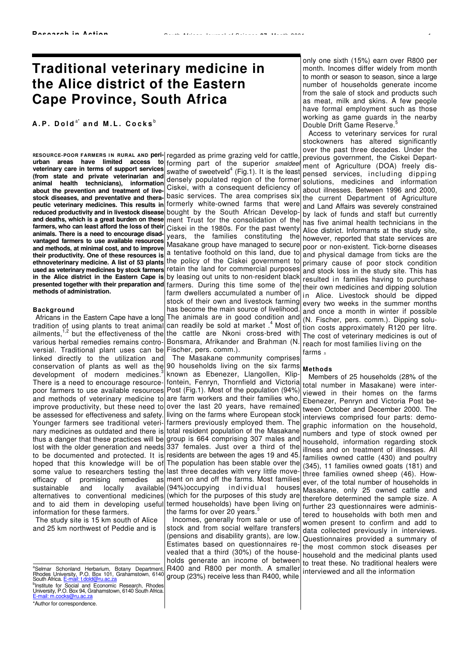# **Traditional veterinary medicine in the Alice district of the Eastern Cape Province, South Africa**

## $A$ ,  $P$ ,  $D$ old<sup>a\*</sup> and M.L. Cocks<sup>b</sup>

R**ESOURCE-POOR FARMERS I N RURAL AND peri-**regarded as prime grazing veld for cattle, urban areas have limited access to forming part of the superior smaldeel **veterinary care in terms of support services (from state and private veterinarian and animal health technicians), information about the prevention and treatment of livestock diseases, and preventative and therapeutic veterinary medicines. This results in** formerly white-owned farms that were **reduced productivity and in livestock disease**  bought by the South African Develop**and deaths, which is a great burden on these farmers, who can least afford the loss of their animals. There is a need to encourage disadvantaged farmers to use available resources and methods, at minimal cost, and to improve their productivity. One of these resources is ethnoveterinary medicine. A list of 53 plants used as veterinary medicines by stock farmers in the Alice district in the Eastern Cape is**  by leasing out units to non-resident black **presented together with their preparation and**  farmers. During this time some of the **methods of administration.** 

#### **Background**

Africans in the Eastern Cape have a long tradition of using plants to treat animal ailments,<sup>1,2</sup> but the effectiveness of the various herbal remedies remains controversial. Traditional plant uses can be Fischer, pers. comm.). linked directly to the utilization and conservation of plants as well as the  $90$  households living on the six farms development of modern medicines.<sup>3</sup> There is a need to encourage resourcepoor farmers to use available resources and methods of veterinary medicine to are farm workers and their families who, improve productivity, but these need to be assessed for effectiveness and safety. Younger farmers see traditional veterinary medicines as outdated and there is thus a danger that these practices will be lost with the older generation and needs to be documented and protected. It is hoped that this knowledge will be of some value to researchers testing the last three decades with very little moveefficacy of promising remedies as sustainable and locally available alternatives to conventional medicines and to aid them in developing useful termed households) have been living on information for these farmers.

The study site is 15 km south of Alice and 25 km northwest of Peddie and is

<sup>b</sup>Institute for Social and Economic Research, Rhodes<br>University, P.O. Box 94, Grahamstown, 6140 South Africa. E-mail: m.cocks@ru.ac.za \*Author for correspondence.

swathe of sweetveld $4$  (Fig.1). It is the least densely populated region of the former Ciskei, with a consequent deficiency of basic services. The area comprises six ment Trust for the consolidation of the Ciskei in the 1980s. For the past twenty years, the families constituting the Masakane group have managed to secure a tentative foothold on this land, due to the policy of the Ciskei government to retain the land for commercial purposes farm dwellers accumulated a number of stock of their own and livestock farming has become the main source of livelihood. The animals are in good condition and can readily be sold at market .<sup>4</sup> Most of the cattle are Nkoni cross-bred with Bonsmara, Afrikander and Brahman (N.

The Masakane community comprises known as Ebenezer, Llangollen, Klipfontein, Fenryn, Thornfield and Victoria Post (Fig.1). Most of the population (94%) over the last 20 years, have remained living on the farms where European stock farmers previously employed them. The total resident population of the Masakane group is 664 comprising 307 males and 337 females. Just over a third of the residents are between the ages 19 and 45. The population has been stable over the ment on and off the farms. Most families (94%)occupying individual houses (which for the purposes of this study are the farms for over 20 years. $\dot{\ }$ 

Incomes, generally from sale or use of stock and from social welfare transfers (pensions and disability grants), are low. Estimates based on questionnaires revealed that a third (30%) of the households generate an income of between R400 and R800 per month. A smaller group (23%) receive less than R400, while

only one sixth (15%) earn over R800 per month. Incomes differ widely from month to month or season to season, since a large number of households generate income from the sale of stock and products such as meat, milk and skins. A few people have formal employment such as those working as game guards in the nearby Double Drift Game Reserve.<sup>5</sup>

Access to veterinary services for rural stockowners has altered significantly over the past three decades. Under the previous government, the Ciskei Department of Agriculture (DOA) freely dispensed services, including dipping solutions, medicines and information about illnesses. Between 1996 and 2000, the current Department of Agriculture and Land Affairs was severely constrained by lack of funds and staff but currently has five animal health technicians in the Alice district. Informants at the study site, however, reported that state services are poor or non-existent. Tick-borne diseases and physical damage from ticks are the primary cause of poor stock condition and stock loss in the study site. This has resulted in families having to purchase their own medicines and dipping solution in Alice. Livestock should be dipped every two weeks in the summer months and once a month in winter if possible (N. Fischer, pers. comm.). Dipping solution costs approximately R120 per litre. The cost of veterinary medicines is out of reach for most families living on the farms  $\frac{1}{2}$ 

#### **Methods**

Members of 25 households (28% of the total number in Masakane) were interviewed in their homes on the farms Ebenezer, Penryn and Victoria Post between October and December 2000. The interviews comprised four parts: demographic information on the household, numbers and type of stock owned per household, information regarding stock illness and on treatment of illnesses. All families owned cattle (430) and poultry (345), 11 families owned goats (181) and three families owned sheep (46). However, of the total number of households in Masakane, only 25 owned cattle and therefore determined the sample size. A further 23 questionnaires were administered to households with both men and women present to confirm and add to data collected previously in interviews. Questionnaires provided a summary of the most common stock diseases per household and the medicinal plants used to treat these. No traditional healers were interviewed and all the information

<sup>&</sup>lt;sup>a</sup>Selmar Schonland Herbarium, Botany Department,<br>Rhodes University, P.O. Box 101, Grahamstown, 6140<br>South Africa. E-mail: t.dold@ru.ac.za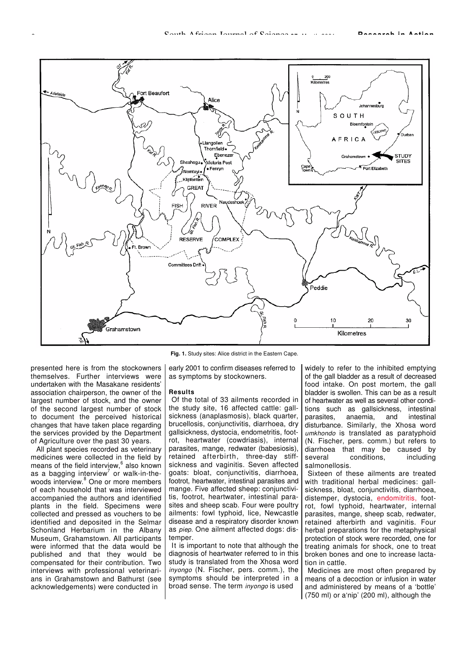

presented here is from the stockowners themselves. Further interviews were undertaken with the Masakane residents' association chairperson, the owner of the largest number of stock, and the owner of the second largest number of stock to document the perceived historical changes that have taken place regarding the services provided by the Department of Agriculture over the past 30 years.

All plant species recorded as veterinary medicines were collected in the field by means of the field interview, $6$  also known as a bagging interview<sup>7</sup> or walk-in-thewoods interview.<sup>8</sup> One or more members of each household that was interviewed accompanied the authors and identified plants in the field. Specimens were collected and pressed as vouchers to be identified and deposited in the Selmar Schonland Herbarium in the Albany Museum, Grahamstown. All participants were informed that the data would be published and that they would be compensated for their contribution. Two interviews with professional veterinarians in Grahamstown and Bathurst (see acknowledgements) were conducted in

**Fig. 1.** Study sites: Alice district in the Eastern Cape.

early 2001 to confirm diseases referred to as symptoms by stockowners.

#### **Results**

Of the total of 33 ailments recorded in the study site, 16 affected cattle: gallsickness (anaplasmosis), black quarter, brucellosis, conjunctivitis, diarrhoea, dry gallsickness, dystocia, endometritis, footrot, heartwater (cowdriasis), internal parasites, mange, redwater (babesiosis), retained afterbirth, three-day stiffsickness and vaginitis. Seven affected goats: bloat, conjunctivitis, diarrhoea, footrot, heartwater, intestinal parasites and mange. Five affected sheep: conjunctivitis, footrot, heartwater, intestinal parasites and sheep scab. Four were poultry ailments: fowl typhoid, lice, Newcastle disease and a respiratory disorder known as *piep*. One ailment affected dogs: distemper

It is important to note that although the diagnosis of heartwater referred to in this study is translated from the Xhosa word inyongo (N. Fischer, pers. comm.), the symptoms should be interpreted in a broad sense. The term inyongo is used

widely to refer to the inhibited emptying of the gall bladder as a result of decreased food intake. On post mortem, the gall bladder is swollen. This can be as a result of heartwater as well as several other conditions such as gallsickness, intestinal parasites, anaemia, and intestinal disturbance. Similarly, the Xhosa word umkhondo is translated as paratyphoid (N. Fischer, pers. comm.) but refers to diarrhoea that may be caused by<br>several conditions. including including salmonellosis.

Sixteen of these ailments are treated with traditional herbal medicines: gallsickness, bloat, conjunctivitis, diarrhoea, distemper, dystocia, endomitritis, footrot, fowl typhoid, heartwater, internal parasites, mange, sheep scab, redwater, retained afterbirth and vaginitis. Four herbal preparations for the metaphysical protection of stock were recorded, one for treating animals for shock, one to treat broken bones and one to increase lactation in cattle.

Medicines are most often prepared by means of a decoction or infusion in water and administered by means of a 'bottle' (750 ml) or a'nip' (200 ml), although the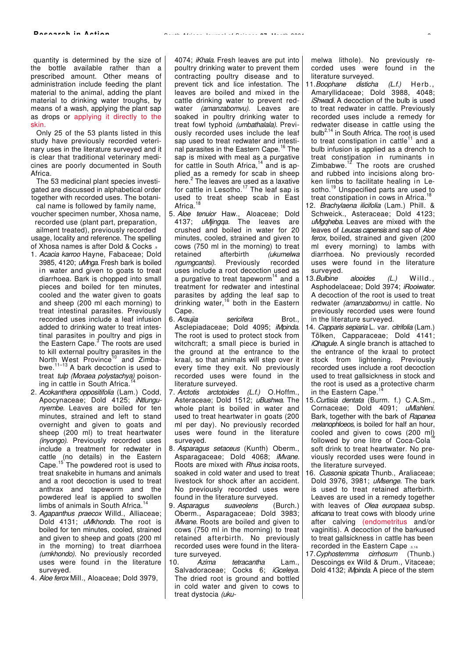quantity is determined by the size of the bottle available rather than a prescribed amount. Other means of administration include feeding the plant material to the animal, adding the plant material to drinking water troughs, by means of a wash, applying the plant sap as drops or applying it directly to the skin.

Only 25 of the 53 plants listed in this study have previously recorded veterinary uses in the literature surveyed and it is clear that traditional veterinary medicines are poorly documented in South Africa.

The 53 medicinal plant species investigated are discussed in alphabetical order together with recorded uses. The botanical name is followed by family name,

voucher specimen number, Xhosa name, recorded use (plant part, preparation,

ailment treated), previously recorded usage, locality and reference. The spelling of Xhosa names is after Dold & Cocks .9

- 1. Acacia karroo Hayne, Fabaceae; Dold 3985, 4120; uMnga. Fresh bark is boiled in water and given to goats to treat diarrhoea. Bark is chopped into small pieces and boiled for ten minutes, cooled and the water given to goats and sheep (200 ml each morning) to treat intestinal parasites. Previously recorded uses include a leaf infusion added to drinking water to treat intestinal parasites in poultry and pigs in the Eastern Cape.<sup>3</sup> The roots are used to kill external poultry parasites in the North West Province<sup>10</sup> and Zimba-North west Frownice and  $\frac{2m}{3}$  bwe.<sup>11–13</sup> A bark decoction is used to treat tulp (Moraea polystachya) poisoning in cattle in South Africa.
- 2. Acokanthera oppositifolia (Lam.) Codd, Apocynaceae; Dold 4125; iNtlungunyembe. Leaves are boiled for ten minutes, strained and left to stand overnight and given to goats and sheep (200 ml) to treat heartwater (inyongo). Previously recorded uses include a treatment for redwater in cattle (no details) in the Eastern Cape.<sup>15</sup> The powdered root is used to treat snakebite in humans and animals and a root decoction is used to treat anthrax and tapeworm and the powdered leaf is applied to swollen limbs of animals in South Africa.
- 3. Agapanthus praecox Willd., Alliaceae; Dold 4131; uMkhondo. The root is boiled for ten minutes, cooled, strained and given to sheep and goats (200 ml in the morning) to treat diarrhoea (umkhondo). No previously recorded uses were found in the literature surveyed.
- 4. Aloe ferox Mill., Aloaceae; Dold 3979,

4074; iKhala. Fresh leaves are put into poultry drinking water to prevent them contracting poultry disease and to prevent tick and lice infestation. The leaves are boiled and mixed in the cattle drinking water to prevent redwater (amanzabomvu). Leaves are soaked in poultry drinking water to treat fowl typhoid (umbathalala). Previously recorded uses include the leaf sap used to treat redwater and intestinal parasites in the Eastern Cape.<sup>16</sup> The sap is mixed with meal as a purgative for cattle in South Africa,<sup>14</sup> and is applied as a remedy for scab in sheep here.<sup>2</sup> The leaves are used as a laxative for cattle in Lesotho.<sup>17</sup> The leaf sap is used to treat sheep scab in East Africa.<sup>18</sup>

- 5. Aloe tenuior Haw., Aloaceae; Dold 4137; uMjingqa. The leaves are crushed and boiled in water for 20 minutes, cooled, strained and given to cows (750 ml in the morning) to treat retained afterbirth (ukumelwa ngumgcantsi). Previously recorded uses include a root decoction used as a purgative to treat tapeworm<sup>14</sup> and a treatment for redwater and intestinal parasites by adding the leaf sap to drinking water, $16$  both in the Eastern Cape.
- 6. Araujia *sericifera* Brot., Asclepiadaceae; Dold 4095; *iMpinda.* The root is used to protect stock from witchcraft; a small piece is buried in the ground at the entrance to the kraal, so that animals will step over it every time they exit. No previously recorded uses were found in the literature surveyed.
- 7. Arctotis arctotoides (L.f.) O.Hoffm., Asteraceae; Dold 1512; uBushwa. The whole plant is boiled in water and used to treat heartwater in goats (200 ml per day). No previously recorded uses were found in the literature surveyed.
- 8. Asparagus setaceus (Kunth) Oberm., Asparagaceae; Dold 4068; *iMvane.* Roots are mixed with Rhus incisa roots, soaked in cold water and used to treat livestock for shock after an accident. No previously recorded uses were found in the literature surveyed.
- 9. Asparagus suaveolens (Burch.) Oberm., Asparagaceae; Dold 3983; iMvane. Roots are boiled and given to cows (750 ml in the morning) to treat retained afterbirth. No previously recorded uses were found in the literature surveyed.<br>0. Azima
- 10. Azima tetracantha Lam., Salvadoraceae; Cocks 6; iGceleya. The dried root is ground and bottled in cold water and given to cows to treat dystocia (uku-

melwa lithole). No previously recorded uses were found in the literature surveyed.

- 11. Boophane disticha (L.f.) Herb., Amaryllidaceae; Dold 3988, 4048; iShwadi. A decoction of the bulb is used to treat redwater in cattle. Previously recorded uses include a remedy for redwater disease in cattle using the bulb<sup>2,14</sup> in South Africa. The root is used to treat constipation in cattle $11$  and a bulb infusion is applied as a drench to treat constipation in ruminants in Zimbabwe. $12$  The roots are crushed and rubbed into incisions along broken limbs to facilitate healing in Lesotho.<sup>19</sup> Unspecified parts are used to treat constipation in cows in Africa.<sup>1</sup>
- 12. Brachylaena ilicifolia (Lam.) Phill. & Schweick., Asteraceae; Dold 4123; uMaaheba. Leaves are mixed with the leaves of Leucas capensis and sap of Aloe ferox, boiled, strained and given (200 ml every morning) to lambs with diarrhoea. No previously recorded uses were found in the literature surveyed.
- 13. Bulbine alooides (L.) Willd., Asphodelaceae; Dold 3974; iRooiwater. A decoction of the root is used to treat redwater (amanzabomvu) in cattle. No previously recorded uses were found in the literature surveyed.
- 14. Capparis sepiaria L. var. citrifolia (Lam.) Tölken, Capparaceae; Dold 4141; iQhagule. A single branch is attached to the entrance of the kraal to protect stock from lightening. Previously recorded uses include a root decoction used to treat gallsickness in stock and the root is used as a protective charm in the Eastern Cape.
- 15.Curtisia dentata (Burm. f.) C.A.Sm., Cornaceae; Dold 4091; uMlahleni. Bark, together with the bark of Rapanea melanophloeos, is boiled for half an hour. cooled and given to cows (200 ml) followed by one litre of Coca-Cola soft drink to treat heartwater. No previously recorded uses were found in the literature surveyed.
- 16. Cussonia spicata Thunb., Araliaceae; Dold 3976, 3981; uMsenge. The bark is used to treat retained afterbirth. Leaves are used in a remedy together with leaves of *Olea europaea* subsp. africana to treat cows with bloody urine after calving (endometritus and/or vaginitis). A decoction of the barkused to treat gallsickness in cattle has been recorded in the Eastern Cape .3,16
- 17. Cyphostemma cirrhosum (Thunb.) Descoings ex Wild & Drum., Vitaceae; Dold 4132; *iMpinda*. A piece of the stem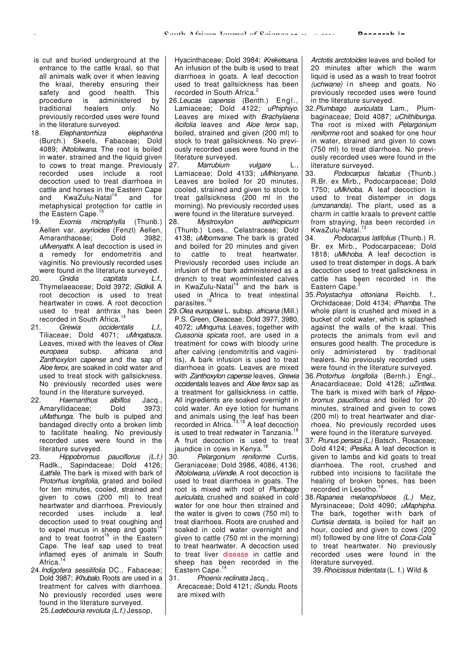- is cut and buried underground at the entrance to the cattle kraal, so that all animals walk over it when leaving the kraal, thereby ensuring their safety and good health. This<br>procedure is administered by procedure is administered by<br>traditional healers only No traditional healers only previously recorded uses were found in the literature surveyed.
- 18. Elephantorrhiza elephantina (Burch.) Skeels, Fabaceae; Dold 4089; *iNtololwana.* The root is boiled in water, strained and the liquid given to cows to treat mange. Previously recorded uses include a root decoction used to treat diarrhoea in cattle and horses in the Eastern Cape<br>and KwaZulu-Natal<sup>14</sup> and for and  $KwaZulu-Natal<sup>14</sup>$ metaphysical protection for cattle in the Eastern Cape.<sup>15</sup>
- 19. Exomis microphylla (Thunb.) Aellen var. *axyrioides* (Fenzl) Aellen,<br>Amaranthaceae: Dold 3982 Amaranthaceae: uMvenyathi. A leaf decoction is used in a remedy for endometritis and vaginitis. No previously recorded uses were found in the literature surveyed.<br>20. Gnidia capitata L.f.
- $c$ apitata L.f., Thymelaeaceae; Dold 3972; iSidikili. A root decoction is used to treat heartwater in cows. A root decoction used to treat anthrax has been recorded in South Africa.<sup>14</sup>
- 21. Grewia occidentalis L.f., Tiliaceae; Dold 4071; uMngabaza. Leaves, mixed with the leaves of Olea europaea subsp. africana and Zanthoxylon capense and the sap of Aloe ferox, are soaked in cold water and used to treat stock with gallsickness. No previously recorded uses were found in the literature surveyed.<br>22. Haemanthus albiflos
- Haemanthus albiflos Jacq., Amaryllidaceae; Dold 3973; uMathunga. The bulb is pulped and bandaged directly onto a broken limb to facilitate healing. No previously recorded uses were found in the literature surveyed.
- 23. Hippobromus pauciflorus (L.f.) Radlk., Sapindaceae; Dold 4126; iLathile. The bark is mixed with bark of Protorhus longifolia, grated and boiled for ten minutes, cooled, strained and given to cows (200 ml) to treat heartwater and diarrhoea. Previously recorded uses include a leaf decoction used to treat coughing and to expel mucus in sheep and goats<sup>14</sup> and to treat footrot<sup>16</sup> in the Eastern Cape. The leaf sap used to treat inflamed eyes of animals in South Africa.
- 24.Indigofera sessilifolia DC., Fabaceae; Dold 3987; iKhubalo. Roots are used in a treatment for calves with diarrhoea. No previously recorded uses were found in the literature surveyed. 25.Ledebouria revoluta (L.f.) Jessop,

Hyacinthaceae; Dold 3984; iKreketsana. An infusion of the bulb is used to treat diarrhoea in goats. A leaf decoction used to treat gallsickness has been recorded in South Africa.<sup>2</sup>

- 26.Leucas capensis (Benth.) Engl., Lamiaceae; Dold 4122; uPhiphiyo. Leaves are mixed with Brachylaena ilicifolia leaves and Aloe ferox sap, boiled, strained and given (200 ml) to stock to treat gallsickness. No previously recorded uses were found in the literature surveyed.
- 27. Marrubium vulgare L., Lamiaceae; Dold 4133; uMhlonyane. Leaves are boiled for 20 minutes, cooled, strained and given to stock to treat gallsickness (200 ml in the morning). No previously recorded uses were found in the literature surveyed.
- 28. Mystroxylon aethiopicum (Thunb.) Loes., Celastraceae; Dold 4138; uMbomvane. The bark is grated and boiled for 20 minutes and given to cattle to treat heartwater. Previously recorded uses include an infusion of the bark administered as a drench to treat worminfested calves in KwaZulu-Natal $14$  and the bark is used in Africa to treat intestinal parasites.<sup>18</sup>
- 29. Olea europaea L. subsp. africana (Mill.) P.S. Green, Oleaceae; Dold 3977, 3980, 4072; *uMnquma*. Leaves, together with Cussonia spicata root, are used in a treatment for cows with bloody urine after calving (endomitritis and vaginitis). A bark infusion is used to treat diarrhoea in goats. Leaves are mixed with Zanthoxylon capense leaves, Grewia occidentalis leaves and Aloe ferox sap as a treatment for gallsickness in cattle. All ingredients are soaked overnight in cold water. An eye lotion for humans and animals using the leaf has been recorded in Africa.<sup>13,18</sup> A leaf decoction is used to treat redwater in Tanzania.<sup>1</sup> A fruit decoction is used to treat jaundice in cows in Kenya.<sup>1</sup><br>30. Pelargonium reniform
- Pelargonium reniforme Curtis, Geraniaceae; Dold 3986, 4086, 4136; iNtololwana, uVendle. A root decoction is used to treat diarrhoea in goats. The root is mixed with root of Plumbago auriculata, crushed and soaked in cold water for one hour then strained and the water is given to cows (750 ml) to treat diarrhoea. Roots are crushed and soaked in cold water overnight and given to cattle (750 ml in the morning) to treat heartwater. A decoction used to treat liver disease in cattle and sheep has been recorded in the Eastern Cape.<sup>14</sup>
- 31. Phoenix reclinata Jacq., Arecaceae; Dold 4121; iSundu. Roots are mixed with

Arctotis arctotoides leaves and boiled for 20 minutes after which the warm liquid is used as a wash to treat footrot (uchwane) in sheep and goats. No previously recorded uses were found in the literature surveyed.

- 32.Plumbago auriculata Lam., Plumbaginaceae; Dold 4087; uChithibunga. The root is mixed with Pelargonium reniforme root and soaked for one hour in water, strained and given to cows (750 ml) to treat diarrhoea. No previously recorded uses were found in the literature surveyed.
- 33. Podocarpus falcatus (Thunb.) R.Br. ex Mirb., Podocarpaceae; Dold 1750; uMkhoba. A leaf decoction is used to treat distemper in dogs (umzananda). The plant, used as a charm in cattle kraals to prevent cattle from straying, has been recorded in KwaZulu-Natal.<br>34 *Podocarr*
- Podocarpus latifolius (Thunb.) R. Br. ex Mirb., Podocarpaceae; Dold 1818; uMkhoba. A leaf decoction is used to treat distemper in dogs. A bark decoction used to treat gallsickness in cattle has been recorded in the Eastern Cape.<sup>3</sup>
- 35.Polystachya ottoniana Reichb. f., Orchidaceae; Dold 4134; iPhamba. The whole plant is crushed and mixed in a bucket of cold water, which is splashed against the walls of the kraal. This protects the animals from evil and ensures good health. The procedure is only administered by traditional healers. No previously recorded uses were found in the literature surveyed.
- 36.Protorhus longifolia (Bernh.) Engl., Anacardiaceae; Dold 4128; uZintlwa. The bark is mixed with bark of Hippobromus pauciflorus and boiled for 20 minutes, strained and given to cows (200 ml) to treat heartwater and diarrhoea. No previously recorded uses were found in the literature surveyed.
- 37. Prunus persica (L.) Batsch., Rosaceae; Dold 4124; *iPesika*. A leaf decoction is given to lambs and kid goats to treat diarrhoea. The root, crushed and rubbed into incisions to facilitate the healing of broken bones, has been recorded in Lesotho.<sup>19</sup>
- 38.Rapanea melanophloeos (L.) Mez, Myrsinaceae; Dold 4090; uMaphipha. The bark, together with bark of Curtisia dentata, is boiled for half an hour, cooled and given to cows (200 ml) followed by one litre of Coca-Cola to treat heartwater. No previously recorded uses were found in the literature surveyed.
	- 39.Rhoicissus tridentata (L. f.) Wild &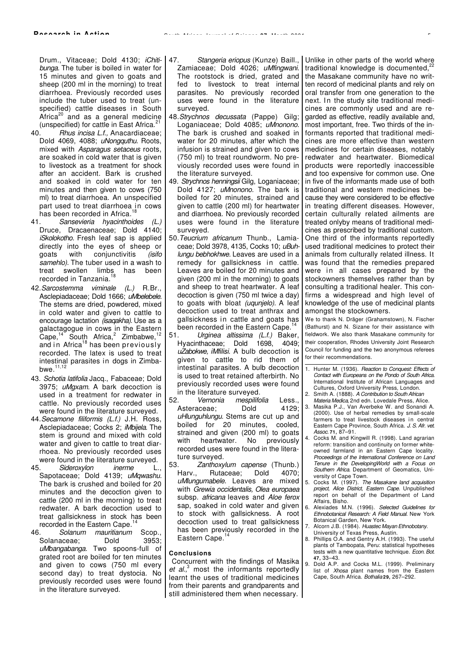Drum., Vitaceae: Dold 4130; iChitibunga. The tuber is boiled in water for 15 minutes and given to goats and sheep (200 ml in the morning) to treat diarrhoea. Previously recorded uses include the tuber used to treat (unspecified) cattle diseases in South Africa<sup>20</sup> and as a general medicine

- (unspecified) for cattle in East Africa.<sup>21</sup><br>40. Hhus incisa L.f.. Anacardiaceae Rhus incisa L.f., Anacardiaceae; Dold 4069, 4088; uNongquthu. Roots, mixed with Asparagus setaceus roots, are soaked in cold water that is given to livestock as a treatment for shock after an accident. Bark is crushed and soaked in cold water for ten minutes and then given to cows (750 ml) to treat diarrhoea. An unspecified part used to treat diarrhoea in cows has been recorded in Africa.<sup>18</sup>
- 41. Sansevieria hyacinthoides (L.) Druce, Dracaenaceae; Dold 4140; iSkolokotho. Fresh leaf sap is applied directly into the eyes of sheep or goats with conjunctivitis (isifo samehlo). The tuber used in a wash to treat swollen limbs has been recorded in Tanzania.<sup>18</sup>
- 42.Sarcostemma viminale (L.) R.Br., Asclepiadaceae; Dold 1666; uMbelebele. The stems are dried, powdered, mixed in cold water and given to cattle to encourage lactation (isagakha). Use as a galactagogue in cows in the Eastern  $Cape, <sup>14</sup>$  South Africa,<sup>2</sup> Zimbabwe,<sup>12</sup> and in Africa<sup>18</sup> has been previously recorded. The latex is used to treat intestinal parasites in dogs in Zimbabwe
- 43. Schotia latifolia Jacq., Fabaceae; Dold 3975; *uMaxam*. A bark decoction is used in a treatment for redwater in cattle. No previously recorded uses were found in the literature surveyed.
- 44. Secamone filiformis (L.f.) J.H. Ross, Asclepiadaceae; Cocks 2; iMbijela. The stem is ground and mixed with cold water and given to cattle to treat diarrhoea. No previously recorded uses were found in the literature surveyed.<br>45. Sideroxylon inerme L.
- Sideroxylon inerme L., Sapotaceae; Dold 4139; uMgwashu. The bark is crushed and boiled for 20 minutes and the decoction given to cattle (200 ml in the morning) to treat redwater. A bark decoction used to treat gallsickness in stock has been recorded in the Eastern Cape.
- 46. Solanum mauritianum Scop., Solanaceae; Dold 3953; uMbangabanga. Two spoons-full of grated root are boiled for ten minutes and given to cows (750 ml every second day) to treat dystocia. No previously recorded uses were found in the literature surveyed.
- 47. Stangeria eriopus (Kunze) Baill., Zamiaceae; Dold 4026; uMfingwani. The rootstock is dried, grated and fed to livestock to treat internal parasites. No previously recorded uses were found in the literature surveyed.
- 48.Strychnos decussata (Pappe) Gilg; Loganiaceae; Dold 4085; uMnonono. The bark is crushed and soaked in water for 20 minutes, after which the infusion is strained and given to cows (750 ml) to treat roundworm. No previously recorded uses were found in the literature surveyed.
- 49. Strychnos henningsii Gilg, Loganiaceae; Dold 4127; uMnonono. The bark is boiled for 20 minutes, strained and given to cattle (200 ml) for heartwater and diarrhoea. No previously recorded uses were found in the literature surveyed.
- 50.Teucrium africanum Thunb., Lamiaceae; Dold 3978, 4135, Cocks 10; uBuhlungu bebhokhwe. Leaves are used in a remedy for gallsickness in cattle. Leaves are boiled for 20 minutes and given (200 ml in the morning) to goats and sheep to treat heartwater. A leaf decoction is given (750 ml twice a day) to goats with bloat (uqunjelo). A leaf decoction used to treat anthrax and gallsickness in cattle and goats has been recorded in the Eastern Cape.<sup>1</sup>
- 51. Urginea altissima (L.f.) Baker, Hyacinthaceae; Dold 1698, 4049; uZabokwe, *iMfilisi*. A bulb decoction is given to cattle to rid them of intestinal parasites. A bulb decoction is used to treat retained afterbirth. No previously recorded uses were found in the literature surveyed.<br>52. Vernonia mespilito
- mespilifolia Less., Asteraceae: Dold 4129: uHlunguhlungu. Stems are cut up and boiled for 20 minutes, cooled, strained and given (200 ml) to goats with heartwater. No previously recorded uses were found in the literature surveyed.
- 53. *Zanthoxylum capense* (Thunb.)<br>Hary, Rutaceae: Dold 4070: Harv., Rutaceae; Dold 4070; uMlungumabele. Leaves are mixed with Grewia occidentalis, Olea europaea subsp. africana leaves and Aloe ferox sap, soaked in cold water and given to stock with gallsickness. A root decoction used to treat gallsickness has been previously recorded in the Eastern Cape.<sup>14</sup>

### **Conclusions**

Concurrent with the findings of Masika et  $al<sub>1</sub><sup>3</sup>$  most the informants reportedly learnt the uses of traditional medicines from their parents and grandparents and still administered them when necessary.

Unlike in other parts of the world where traditional knowledge is documented. the Masakane community have no written record of medicinal plants and rely on oral transfer from one generation to the next. In the study site traditional medicines are commonly used and are regarded as effective, readily available and, most important, free. Two thirds of the informants reported that traditional medicines are more effective than western medicines for certain diseases, notably redwater and heartwater. Biomedical products were reportedly inaccessible and too expensive for common use. One in five of the informants made use of both traditional and western medicines because they were considered to be effective in treating different diseases. However, certain culturally related ailments are treated onlyby means of traditional medicines as prescribed by traditional custom. One third of the informants reportedly used traditional medicines to protect their animals from culturally related illness. It was found that the remedies prepared were in all cases prepared by the stockowners themselves rather than by consulting a traditional healer. This confirms a widespread and high level of knowledge of the use of medicinal plants amongst the stockowners.

We to thank N. Dräger (Grahamstown), N. Fischer (Bathurst) and N. Sizane for their assistance with fieldwork. We also thank Masakane community for their cooperation, Rhodes University Joint Research Council for funding and the two anonymous referees for their recommendations.

- Hunter M. (1936). Reaction to Conquest: Effects of Contact with Europeans on the Pondo of South Africa. International Institute of African Languages and Cultures, Oxford University Press, London.
- 2. Smith A. (1888). A Contribution to South African Materia Medica, 2nd edn. Lovedale Press, Alice.
- 3. Masika P.J., Van Averbeke W. and Sonandi A. (2000). Use of herbal remedies by small-scale farmers to treat livestock diseases in central Eastern Cape Province, South Africa. J. S. Afr. vet. Assoc. **71,** 87–91.
- 4. Cocks M. and Kingwill R. (1998). Land agrarian reform: transition and continuity on former whiteowned farmland in an Eastern Cape locality. Proceedings of the International Conference on Land Tenure in the DevelopingWorld with a Focus on Southern Africa. Department of Geomatics, University of Cape Town.
- 5. Cocks M. (1997). The Masakane land acquisition project, Alice District, Eastern Cape. Unpublished report on behalf of the Department of Land Affairs, Bisho.
	- Alexiades M.N. (1996). Selected Guidelines for Ethnobotanical Research: A Field Manual. New York Botanical Garden, New York.
- Alcorn J.B. (1984). Huastec Mayan Ethnobotany. University of Texas Press, Austin.
- 8. Phillips O.A. and Gentry A.H. (1993). The useful plants of Tambopata, Peru: statistical hypotheses tests with a new quantitative technique. Econ. Bot. **47,** 33–43.
- 9. Dold A.P. and Cocks M.L. (1999). Preliminary list of Xhosa plant names from the Eastern Cape, South Africa. Bothalia **29,** 267–292.